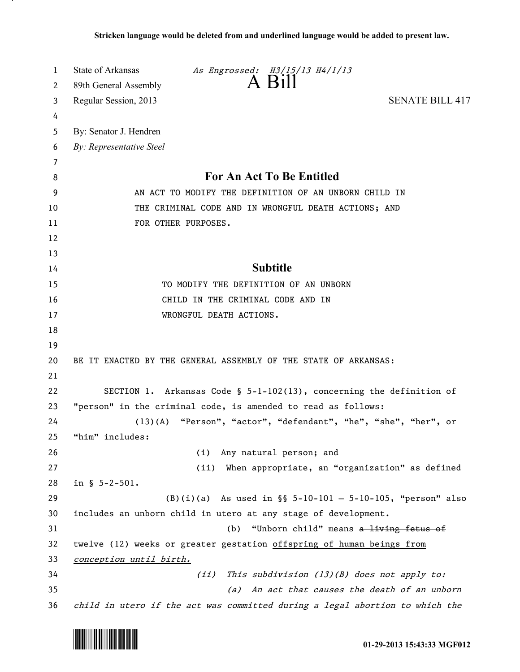| 1  | State of Arkansas<br>As Engrossed: H3/15/13 H4/1/13                          |
|----|------------------------------------------------------------------------------|
| 2  | A Bill<br>89th General Assembly                                              |
| 3  | Regular Session, 2013<br><b>SENATE BILL 417</b>                              |
| 4  |                                                                              |
| 5  | By: Senator J. Hendren                                                       |
| 6  | By: Representative Steel                                                     |
| 7  |                                                                              |
| 8  | For An Act To Be Entitled                                                    |
| 9  | AN ACT TO MODIFY THE DEFINITION OF AN UNBORN CHILD IN                        |
| 10 | THE CRIMINAL CODE AND IN WRONGFUL DEATH ACTIONS; AND                         |
| 11 | FOR OTHER PURPOSES.                                                          |
| 12 |                                                                              |
| 13 |                                                                              |
| 14 | <b>Subtitle</b>                                                              |
| 15 | TO MODIFY THE DEFINITION OF AN UNBORN                                        |
| 16 | CHILD IN THE CRIMINAL CODE AND IN                                            |
| 17 | WRONGFUL DEATH ACTIONS.                                                      |
| 18 |                                                                              |
| 19 |                                                                              |
| 20 | BE IT ENACTED BY THE GENERAL ASSEMBLY OF THE STATE OF ARKANSAS:              |
| 21 |                                                                              |
| 22 | SECTION 1. Arkansas Code § 5-1-102(13), concerning the definition of         |
| 23 | "person" in the criminal code, is amended to read as follows:                |
| 24 | (13)(A) "Person", "actor", "defendant", "he", "she", "her", or               |
| 25 | "him" includes:                                                              |
| 26 | Any natural person; and<br>(i)                                               |
| 27 | When appropriate, an "organization" as defined<br>(ii)                       |
| 28 | in $$ 5-2-501.$                                                              |
| 29 | $(B)(i)(a)$ As used in §§ 5-10-101 - 5-10-105, "person" also                 |
| 30 | includes an unborn child in utero at any stage of development.               |
| 31 | "Unborn child" means a living fetus of<br>(b)                                |
| 32 | twelve (12) weeks or greater gestation offspring of human beings from        |
| 33 | conception until birth.                                                      |
| 34 | (ii) This subdivision (13)(B) does not apply to:                             |
| 35 | An act that causes the death of an unborn<br>(a)                             |
| 36 | child in utero if the act was committed during a legal abortion to which the |



<u>. на п</u>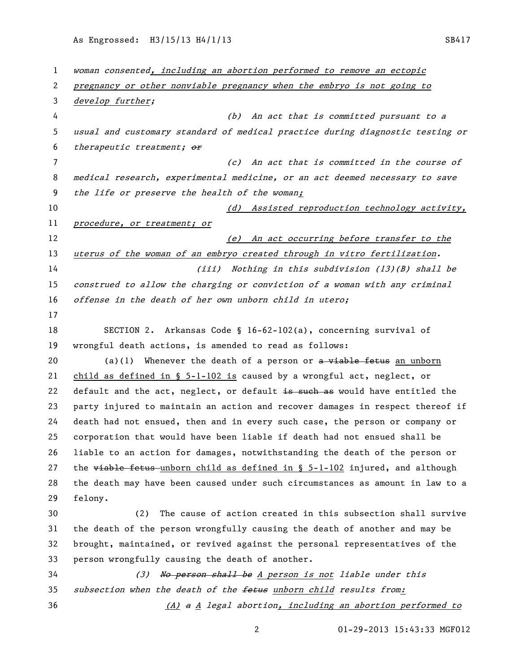As Engrossed: H3/15/13 H4/1/13 SB417

 woman consented, including an abortion performed to remove an ectopic pregnancy or other nonviable pregnancy when the embryo is not going to develop further; (b) An act that is committed pursuant to a usual and customary standard of medical practice during diagnostic testing or 6 therapeutic treatment; or (c) An act that is committed in the course of medical research, experimental medicine, or an act deemed necessary to save the life or preserve the health of the woman; 10 (d) Assisted reproduction technology activity, 11 procedure, or treatment; or 12 (e) An act occurring before transfer to the 13 uterus of the woman of an embryo created through in vitro fertilization. (iii) Nothing in this subdivision (13)(B) shall be construed to allow the charging or conviction of a woman with any criminal offense in the death of her own unborn child in utero; SECTION 2. Arkansas Code § 16-62-102(a), concerning survival of wrongful death actions, is amended to read as follows: 20 (a)(1) Whenever the death of a person or  $\alpha$  viable fetus an unborn child as defined in § 5-1-102 is caused by a wrongful act, neglect, or 22 default and the act, neglect, or default is such as would have entitled the party injured to maintain an action and recover damages in respect thereof if death had not ensued, then and in every such case, the person or company or corporation that would have been liable if death had not ensued shall be liable to an action for damages, notwithstanding the death of the person or 27 the  $\overline{v}$  the  $\overline{v}$  the fetus-unborn child as defined in § 5-1-102 injured, and although the death may have been caused under such circumstances as amount in law to a felony. (2) The cause of action created in this subsection shall survive the death of the person wrongfully causing the death of another and may be brought, maintained, or revived against the personal representatives of the person wrongfully causing the death of another. 34 (3) No person shall be A person is not liable under this 35 subsection when the death of the fetus unborn child results from: 36 (A) a A legal abortion, including an abortion performed to

01-29-2013 15:43:33 MGF012